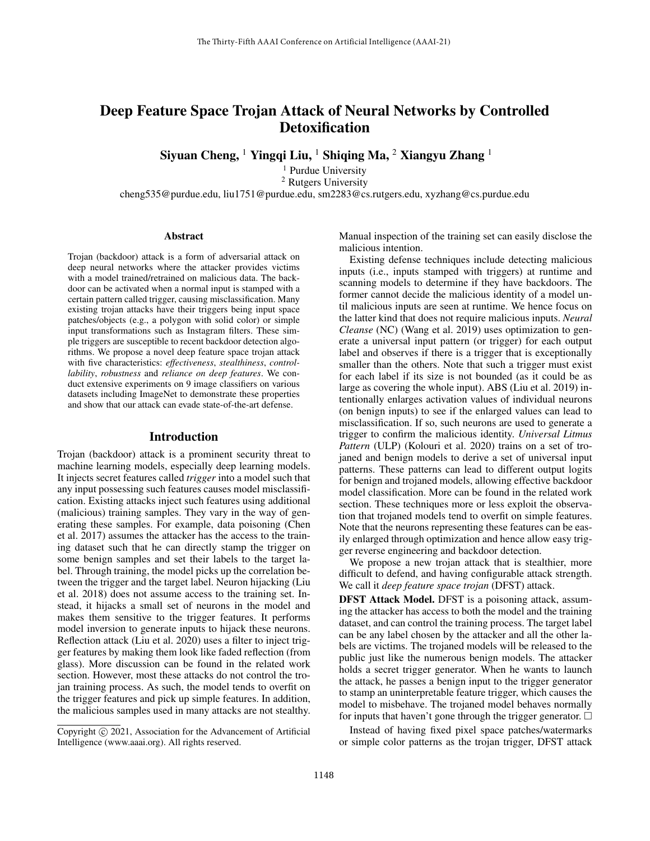# Deep Feature Space Trojan Attack of Neural Networks by Controlled **Detoxification**

Siyuan Cheng, <sup>1</sup> Yingqi Liu, <sup>1</sup> Shiqing Ma, <sup>2</sup> Xiangyu Zhang <sup>1</sup>

<sup>1</sup> Purdue University <sup>2</sup> Rutgers University cheng535@purdue.edu, liu1751@purdue.edu, sm2283@cs.rutgers.edu, xyzhang@cs.purdue.edu

#### Abstract

Trojan (backdoor) attack is a form of adversarial attack on deep neural networks where the attacker provides victims with a model trained/retrained on malicious data. The backdoor can be activated when a normal input is stamped with a certain pattern called trigger, causing misclassification. Many existing trojan attacks have their triggers being input space patches/objects (e.g., a polygon with solid color) or simple input transformations such as Instagram filters. These simple triggers are susceptible to recent backdoor detection algorithms. We propose a novel deep feature space trojan attack with five characteristics: *effectiveness*, *stealthiness*, *controllability*, *robustness* and *reliance on deep features*. We conduct extensive experiments on 9 image classifiers on various datasets including ImageNet to demonstrate these properties and show that our attack can evade state-of-the-art defense.

#### Introduction

Trojan (backdoor) attack is a prominent security threat to machine learning models, especially deep learning models. It injects secret features called *trigger* into a model such that any input possessing such features causes model misclassification. Existing attacks inject such features using additional (malicious) training samples. They vary in the way of generating these samples. For example, data poisoning (Chen et al. 2017) assumes the attacker has the access to the training dataset such that he can directly stamp the trigger on some benign samples and set their labels to the target label. Through training, the model picks up the correlation between the trigger and the target label. Neuron hijacking (Liu et al. 2018) does not assume access to the training set. Instead, it hijacks a small set of neurons in the model and makes them sensitive to the trigger features. It performs model inversion to generate inputs to hijack these neurons. Reflection attack (Liu et al. 2020) uses a filter to inject trigger features by making them look like faded reflection (from glass). More discussion can be found in the related work section. However, most these attacks do not control the trojan training process. As such, the model tends to overfit on the trigger features and pick up simple features. In addition, the malicious samples used in many attacks are not stealthy. Manual inspection of the training set can easily disclose the malicious intention.

Existing defense techniques include detecting malicious inputs (i.e., inputs stamped with triggers) at runtime and scanning models to determine if they have backdoors. The former cannot decide the malicious identity of a model until malicious inputs are seen at runtime. We hence focus on the latter kind that does not require malicious inputs. *Neural Cleanse* (NC) (Wang et al. 2019) uses optimization to generate a universal input pattern (or trigger) for each output label and observes if there is a trigger that is exceptionally smaller than the others. Note that such a trigger must exist for each label if its size is not bounded (as it could be as large as covering the whole input). ABS (Liu et al. 2019) intentionally enlarges activation values of individual neurons (on benign inputs) to see if the enlarged values can lead to misclassification. If so, such neurons are used to generate a trigger to confirm the malicious identity. *Universal Litmus Pattern* (ULP) (Kolouri et al. 2020) trains on a set of trojaned and benign models to derive a set of universal input patterns. These patterns can lead to different output logits for benign and trojaned models, allowing effective backdoor model classification. More can be found in the related work section. These techniques more or less exploit the observation that trojaned models tend to overfit on simple features. Note that the neurons representing these features can be easily enlarged through optimization and hence allow easy trigger reverse engineering and backdoor detection.

We propose a new trojan attack that is stealthier, more difficult to defend, and having configurable attack strength. We call it *deep feature space trojan* (DFST) attack.

DFST Attack Model. DFST is a poisoning attack, assuming the attacker has access to both the model and the training dataset, and can control the training process. The target label can be any label chosen by the attacker and all the other labels are victims. The trojaned models will be released to the public just like the numerous benign models. The attacker holds a secret trigger generator. When he wants to launch the attack, he passes a benign input to the trigger generator to stamp an uninterpretable feature trigger, which causes the model to misbehave. The trojaned model behaves normally for inputs that haven't gone through the trigger generator.  $\square$ 

Instead of having fixed pixel space patches/watermarks or simple color patterns as the trojan trigger, DFST attack

Copyright © 2021, Association for the Advancement of Artificial Intelligence (www.aaai.org). All rights reserved.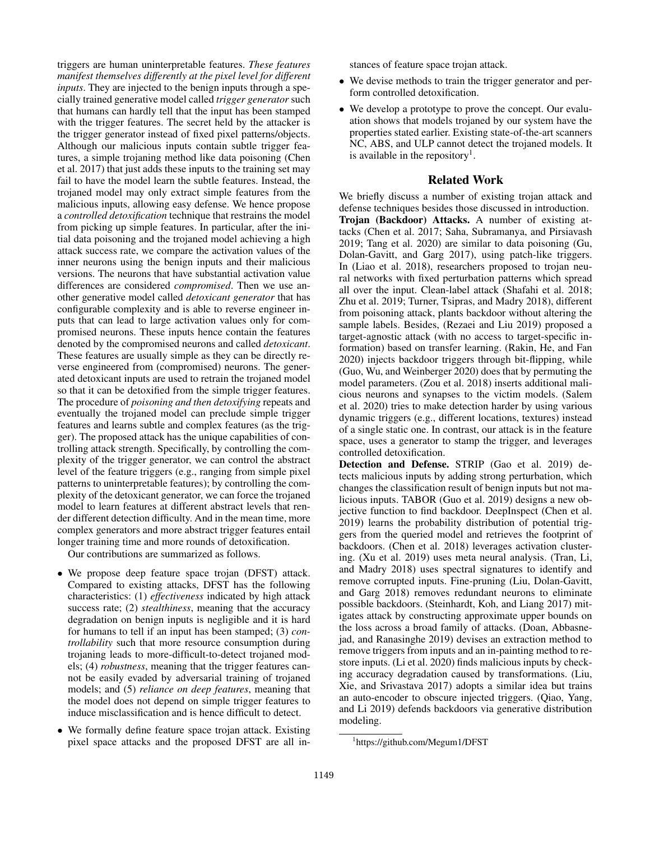triggers are human uninterpretable features. *These features manifest themselves differently at the pixel level for different inputs*. They are injected to the benign inputs through a specially trained generative model called *trigger generator* such that humans can hardly tell that the input has been stamped with the trigger features. The secret held by the attacker is the trigger generator instead of fixed pixel patterns/objects. Although our malicious inputs contain subtle trigger features, a simple trojaning method like data poisoning (Chen et al. 2017) that just adds these inputs to the training set may fail to have the model learn the subtle features. Instead, the trojaned model may only extract simple features from the malicious inputs, allowing easy defense. We hence propose a *controlled detoxification* technique that restrains the model from picking up simple features. In particular, after the initial data poisoning and the trojaned model achieving a high attack success rate, we compare the activation values of the inner neurons using the benign inputs and their malicious versions. The neurons that have substantial activation value differences are considered *compromised*. Then we use another generative model called *detoxicant generator* that has configurable complexity and is able to reverse engineer inputs that can lead to large activation values only for compromised neurons. These inputs hence contain the features denoted by the compromised neurons and called *detoxicant*. These features are usually simple as they can be directly reverse engineered from (compromised) neurons. The generated detoxicant inputs are used to retrain the trojaned model so that it can be detoxified from the simple trigger features. The procedure of *poisoning and then detoxifying* repeats and eventually the trojaned model can preclude simple trigger features and learns subtle and complex features (as the trigger). The proposed attack has the unique capabilities of controlling attack strength. Specifically, by controlling the complexity of the trigger generator, we can control the abstract level of the feature triggers (e.g., ranging from simple pixel patterns to uninterpretable features); by controlling the complexity of the detoxicant generator, we can force the trojaned model to learn features at different abstract levels that render different detection difficulty. And in the mean time, more complex generators and more abstract trigger features entail longer training time and more rounds of detoxification.

Our contributions are summarized as follows.

- We propose deep feature space trojan (DFST) attack. Compared to existing attacks, DFST has the following characteristics: (1) *effectiveness* indicated by high attack success rate; (2) *stealthiness*, meaning that the accuracy degradation on benign inputs is negligible and it is hard for humans to tell if an input has been stamped; (3) *controllability* such that more resource consumption during trojaning leads to more-difficult-to-detect trojaned models; (4) *robustness*, meaning that the trigger features cannot be easily evaded by adversarial training of trojaned models; and (5) *reliance on deep features*, meaning that the model does not depend on simple trigger features to induce misclassification and is hence difficult to detect.
- We formally define feature space trojan attack. Existing pixel space attacks and the proposed DFST are all in-

stances of feature space trojan attack.

- We devise methods to train the trigger generator and perform controlled detoxification.
- We develop a prototype to prove the concept. Our evaluation shows that models trojaned by our system have the properties stated earlier. Existing state-of-the-art scanners NC, ABS, and ULP cannot detect the trojaned models. It is available in the repository<sup>1</sup>.

## Related Work

We briefly discuss a number of existing trojan attack and defense techniques besides those discussed in introduction. Trojan (Backdoor) Attacks. A number of existing attacks (Chen et al. 2017; Saha, Subramanya, and Pirsiavash 2019; Tang et al. 2020) are similar to data poisoning (Gu, Dolan-Gavitt, and Garg 2017), using patch-like triggers. In (Liao et al. 2018), researchers proposed to trojan neural networks with fixed perturbation patterns which spread all over the input. Clean-label attack (Shafahi et al. 2018; Zhu et al. 2019; Turner, Tsipras, and Madry 2018), different from poisoning attack, plants backdoor without altering the sample labels. Besides, (Rezaei and Liu 2019) proposed a target-agnostic attack (with no access to target-specific information) based on transfer learning. (Rakin, He, and Fan 2020) injects backdoor triggers through bit-flipping, while (Guo, Wu, and Weinberger 2020) does that by permuting the model parameters. (Zou et al. 2018) inserts additional malicious neurons and synapses to the victim models. (Salem et al. 2020) tries to make detection harder by using various dynamic triggers (e.g., different locations, textures) instead of a single static one. In contrast, our attack is in the feature space, uses a generator to stamp the trigger, and leverages controlled detoxification.

Detection and Defense. STRIP (Gao et al. 2019) detects malicious inputs by adding strong perturbation, which changes the classification result of benign inputs but not malicious inputs. TABOR (Guo et al. 2019) designs a new objective function to find backdoor. DeepInspect (Chen et al. 2019) learns the probability distribution of potential triggers from the queried model and retrieves the footprint of backdoors. (Chen et al. 2018) leverages activation clustering. (Xu et al. 2019) uses meta neural analysis. (Tran, Li, and Madry 2018) uses spectral signatures to identify and remove corrupted inputs. Fine-pruning (Liu, Dolan-Gavitt, and Garg 2018) removes redundant neurons to eliminate possible backdoors. (Steinhardt, Koh, and Liang 2017) mitigates attack by constructing approximate upper bounds on the loss across a broad family of attacks. (Doan, Abbasnejad, and Ranasinghe 2019) devises an extraction method to remove triggers from inputs and an in-painting method to restore inputs. (Li et al. 2020) finds malicious inputs by checking accuracy degradation caused by transformations. (Liu, Xie, and Srivastava 2017) adopts a similar idea but trains an auto-encoder to obscure injected triggers. (Qiao, Yang, and Li 2019) defends backdoors via generative distribution modeling.

<sup>1</sup> https://github.com/Megum1/DFST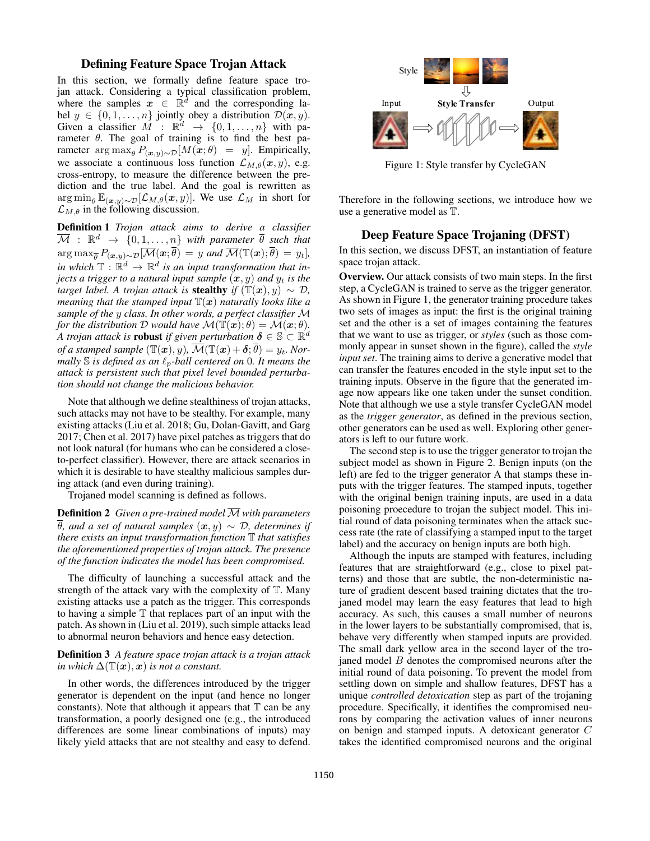## Defining Feature Space Trojan Attack

In this section, we formally define feature space trojan attack. Considering a typical classification problem, where the samples  $x \in \mathbb{R}^d$  and the corresponding label  $y \in \{0, 1, \ldots, n\}$  jointly obey a distribution  $\mathcal{D}(x, y)$ . Given a classifier  $M$  :  $\mathbb{R}^d \to \{0, 1, ..., n\}$  with parameter  $\theta$ . The goal of training is to find the best parameter  $\arg \max_{\theta} P_{(\mathbf{x}, y) \sim \mathcal{D}}[M(\mathbf{x}; \theta)] = y$ . Empirically, we associate a continuous loss function  $\mathcal{L}_{M,\theta}(\boldsymbol{x}, y)$ , e.g. cross-entropy, to measure the difference between the prediction and the true label. And the goal is rewritten as  $\arg \min_{\theta} \mathbb{E}_{(\bm{x},y) \sim \mathcal{D}}[\mathcal{L}_{M,\theta}(\bm{x},y)]$ . We use  $\mathcal{L}_M$  in short for  $\mathcal{L}_{M,\theta}$  in the following discussion.

Definition 1 *Trojan attack aims to derive a classifier*  $\overline{\mathcal{M}}$  :  $\mathbb{R}^d$   $\rightarrow$   $\{0,1,\ldots,n\}$  with parameter  $\overline{\theta}$  such that  $\arg \max_{\overline{\theta}} P_{(\mathbf{x},y) \sim \mathcal{D}}[\overline{\mathcal{M}}(\mathbf{x}; \overline{\theta})] = y$  and  $\overline{\mathcal{M}}(\mathbb{T}(\mathbf{x}); \overline{\theta})] = y_t$ , in which  $\mathbb{T}: \mathbb{R}^d \to \mathbb{R}^d$  is an input transformation that in*jects a trigger to a natural input sample*  $(x, y)$  *and*  $y_t$  *is the target label. A trojan attack is stealthy if*  $(\mathbb{T}(\boldsymbol{x}), y) \sim \mathcal{D}$ , *meaning that the stamped input*  $\mathbb{T}(x)$  *naturally looks like a sample of the* y *class. In other words, a perfect classifier* M *for the distribution* D *would have*  $\mathcal{M}(\mathbb{T}(\boldsymbol{x});\theta) = \mathcal{M}(\boldsymbol{x};\theta)$ *.* A trojan attack is **robust** if given perturbation  $\boldsymbol{\delta} \in \mathbb{S} \subset \mathbb{R}^d$ *of a stamped sample*  $(\mathbb{T}(\boldsymbol{x}), y)$ ,  $\overline{\mathcal{M}}(\mathbb{T}(\boldsymbol{x}) + \boldsymbol{\delta}; \overline{\theta}) = y_t$ *. Normally*  $\mathbb S$  *is defined as an*  $\ell_p$ *-ball centered on* 0*. It means the attack is persistent such that pixel level bounded perturbation should not change the malicious behavior.*

Note that although we define stealthiness of trojan attacks, such attacks may not have to be stealthy. For example, many existing attacks (Liu et al. 2018; Gu, Dolan-Gavitt, and Garg 2017; Chen et al. 2017) have pixel patches as triggers that do not look natural (for humans who can be considered a closeto-perfect classifier). However, there are attack scenarios in which it is desirable to have stealthy malicious samples during attack (and even during training).

Trojaned model scanning is defined as follows.

**Definition 2** *Given a pre-trained model*  $\overline{M}$  *with parameters*  $\overline{\theta}$ *, and a set of natural samples*  $(x, y) \sim \mathcal{D}$ *, determines if there exists an input transformation function* T *that satisfies the aforementioned properties of trojan attack. The presence of the function indicates the model has been compromised.*

The difficulty of launching a successful attack and the strength of the attack vary with the complexity of T. Many existing attacks use a patch as the trigger. This corresponds to having a simple  $T$  that replaces part of an input with the patch. As shown in (Liu et al. 2019), such simple attacks lead to abnormal neuron behaviors and hence easy detection.

#### Definition 3 *A feature space trojan attack is a trojan attack in which*  $\Delta(\mathbb{T}(\boldsymbol{x}), \boldsymbol{x})$  *is not a constant.*

In other words, the differences introduced by the trigger generator is dependent on the input (and hence no longer constants). Note that although it appears that  $T$  can be any transformation, a poorly designed one (e.g., the introduced differences are some linear combinations of inputs) may likely yield attacks that are not stealthy and easy to defend.



Figure 1: Style transfer by CycleGAN

Therefore in the following sections, we introduce how we use a generative model as T.

## Deep Feature Space Trojaning (DFST)

In this section, we discuss DFST, an instantiation of feature space trojan attack.

Overview. Our attack consists of two main steps. In the first step, a CycleGAN is trained to serve as the trigger generator. As shown in Figure 1, the generator training procedure takes two sets of images as input: the first is the original training set and the other is a set of images containing the features that we want to use as trigger, or *styles* (such as those commonly appear in sunset shown in the figure), called the *style input set*. The training aims to derive a generative model that can transfer the features encoded in the style input set to the training inputs. Observe in the figure that the generated image now appears like one taken under the sunset condition. Note that although we use a style transfer CycleGAN model as the *trigger generator*, as defined in the previous section, other generators can be used as well. Exploring other generators is left to our future work.

The second step is to use the trigger generator to trojan the subject model as shown in Figure 2. Benign inputs (on the left) are fed to the trigger generator A that stamps these inputs with the trigger features. The stamped inputs, together with the original benign training inputs, are used in a data poisoning proecedure to trojan the subject model. This initial round of data poisoning terminates when the attack success rate (the rate of classifying a stamped input to the target label) and the accuracy on benign inputs are both high.

Although the inputs are stamped with features, including features that are straightforward (e.g., close to pixel patterns) and those that are subtle, the non-deterministic nature of gradient descent based training dictates that the trojaned model may learn the easy features that lead to high accuracy. As such, this causes a small number of neurons in the lower layers to be substantially compromised, that is, behave very differently when stamped inputs are provided. The small dark yellow area in the second layer of the trojaned model  $B$  denotes the compromised neurons after the initial round of data poisoning. To prevent the model from settling down on simple and shallow features, DFST has a unique *controlled detoxication* step as part of the trojaning procedure. Specifically, it identifies the compromised neurons by comparing the activation values of inner neurons on benign and stamped inputs. A detoxicant generator C takes the identified compromised neurons and the original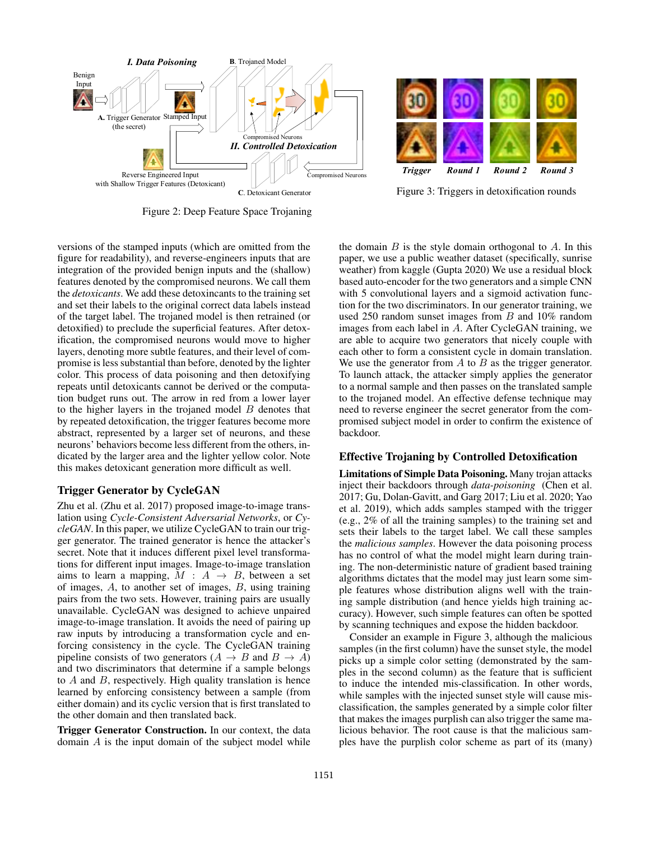



Figure 3: Triggers in detoxification rounds

Figure 2: Deep Feature Space Trojaning

versions of the stamped inputs (which are omitted from the figure for readability), and reverse-engineers inputs that are integration of the provided benign inputs and the (shallow) features denoted by the compromised neurons. We call them the *detoxicants*. We add these detoxincants to the training set and set their labels to the original correct data labels instead of the target label. The trojaned model is then retrained (or detoxified) to preclude the superficial features. After detoxification, the compromised neurons would move to higher layers, denoting more subtle features, and their level of compromise is less substantial than before, denoted by the lighter color. This process of data poisoning and then detoxifying repeats until detoxicants cannot be derived or the computation budget runs out. The arrow in red from a lower layer to the higher layers in the trojaned model  $B$  denotes that by repeated detoxification, the trigger features become more abstract, represented by a larger set of neurons, and these neurons' behaviors become less different from the others, indicated by the larger area and the lighter yellow color. Note this makes detoxicant generation more difficult as well.

## Trigger Generator by CycleGAN

Zhu et al. (Zhu et al. 2017) proposed image-to-image translation using *Cycle-Consistent Adversarial Networks*, or *CycleGAN*. In this paper, we utilize CycleGAN to train our trigger generator. The trained generator is hence the attacker's secret. Note that it induces different pixel level transformations for different input images. Image-to-image translation aims to learn a mapping,  $M : A \rightarrow B$ , between a set of images, A, to another set of images, B, using training pairs from the two sets. However, training pairs are usually unavailable. CycleGAN was designed to achieve unpaired image-to-image translation. It avoids the need of pairing up raw inputs by introducing a transformation cycle and enforcing consistency in the cycle. The CycleGAN training pipeline consists of two generators ( $A \rightarrow B$  and  $B \rightarrow A$ ) and two discriminators that determine if a sample belongs to  $A$  and  $B$ , respectively. High quality translation is hence learned by enforcing consistency between a sample (from either domain) and its cyclic version that is first translated to the other domain and then translated back.

Trigger Generator Construction. In our context, the data domain A is the input domain of the subject model while

the domain  $B$  is the style domain orthogonal to  $A$ . In this paper, we use a public weather dataset (specifically, sunrise weather) from kaggle (Gupta 2020) We use a residual block based auto-encoder for the two generators and a simple CNN with 5 convolutional layers and a sigmoid activation function for the two discriminators. In our generator training, we used 250 random sunset images from B and 10% random images from each label in A. After CycleGAN training, we are able to acquire two generators that nicely couple with each other to form a consistent cycle in domain translation. We use the generator from  $A$  to  $B$  as the trigger generator. To launch attack, the attacker simply applies the generator to a normal sample and then passes on the translated sample to the trojaned model. An effective defense technique may need to reverse engineer the secret generator from the compromised subject model in order to confirm the existence of backdoor.

#### Effective Trojaning by Controlled Detoxification

Limitations of Simple Data Poisoning. Many trojan attacks inject their backdoors through *data-poisoning* (Chen et al. 2017; Gu, Dolan-Gavitt, and Garg 2017; Liu et al. 2020; Yao et al. 2019), which adds samples stamped with the trigger (e.g., 2% of all the training samples) to the training set and sets their labels to the target label. We call these samples the *malicious samples*. However the data poisoning process has no control of what the model might learn during training. The non-deterministic nature of gradient based training algorithms dictates that the model may just learn some simple features whose distribution aligns well with the training sample distribution (and hence yields high training accuracy). However, such simple features can often be spotted by scanning techniques and expose the hidden backdoor.

Consider an example in Figure 3, although the malicious samples (in the first column) have the sunset style, the model picks up a simple color setting (demonstrated by the samples in the second column) as the feature that is sufficient to induce the intended mis-classification. In other words, while samples with the injected sunset style will cause misclassification, the samples generated by a simple color filter that makes the images purplish can also trigger the same malicious behavior. The root cause is that the malicious samples have the purplish color scheme as part of its (many)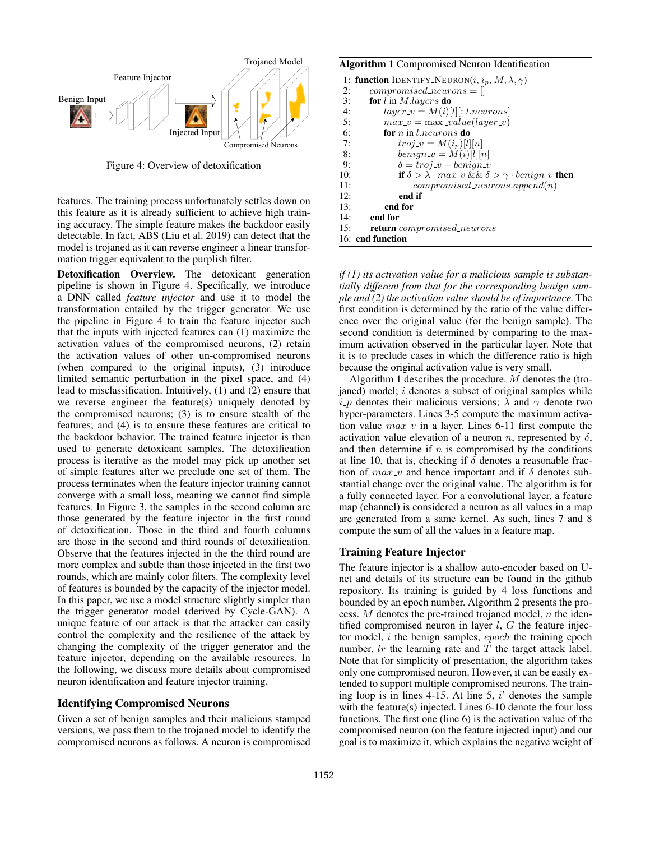

Figure 4: Overview of detoxification

features. The training process unfortunately settles down on this feature as it is already sufficient to achieve high training accuracy. The simple feature makes the backdoor easily detectable. In fact, ABS (Liu et al. 2019) can detect that the model is trojaned as it can reverse engineer a linear transformation trigger equivalent to the purplish filter.

Detoxification Overview. The detoxicant generation pipeline is shown in Figure 4. Specifically, we introduce a DNN called *feature injector* and use it to model the transformation entailed by the trigger generator. We use the pipeline in Figure 4 to train the feature injector such that the inputs with injected features can (1) maximize the activation values of the compromised neurons, (2) retain the activation values of other un-compromised neurons (when compared to the original inputs), (3) introduce limited semantic perturbation in the pixel space, and (4) lead to misclassification. Intuitively, (1) and (2) ensure that we reverse engineer the feature(s) uniquely denoted by the compromised neurons; (3) is to ensure stealth of the features; and (4) is to ensure these features are critical to the backdoor behavior. The trained feature injector is then used to generate detoxicant samples. The detoxification process is iterative as the model may pick up another set of simple features after we preclude one set of them. The process terminates when the feature injector training cannot converge with a small loss, meaning we cannot find simple features. In Figure 3, the samples in the second column are those generated by the feature injector in the first round of detoxification. Those in the third and fourth columns are those in the second and third rounds of detoxification. Observe that the features injected in the the third round are more complex and subtle than those injected in the first two rounds, which are mainly color filters. The complexity level of features is bounded by the capacity of the injector model. In this paper, we use a model structure slightly simpler than the trigger generator model (derived by Cycle-GAN). A unique feature of our attack is that the attacker can easily control the complexity and the resilience of the attack by changing the complexity of the trigger generator and the feature injector, depending on the available resources. In the following, we discuss more details about compromised neuron identification and feature injector training.

#### Identifying Compromised Neurons

Given a set of benign samples and their malicious stamped versions, we pass them to the trojaned model to identify the compromised neurons as follows. A neuron is compromised

| <b>Algorithm 1</b> Compromised Neuron Identification |                                                                                                            |  |  |  |  |  |
|------------------------------------------------------|------------------------------------------------------------------------------------------------------------|--|--|--|--|--|
|                                                      | 1: <b>function</b> IDENTIFY_NEURON( <i>i</i> , $i_p$ , $M$ , $\lambda$ , $\gamma$ )                        |  |  |  |  |  |
| 2:                                                   | $compromised\_neurons =$                                                                                   |  |  |  |  |  |
| 3:                                                   | <b>for</b> l in <i>M.layers</i> <b>do</b>                                                                  |  |  |  |  |  |
| 4:                                                   | $layer\_v = M(i)[l][:l.newrons]$                                                                           |  |  |  |  |  |
| 5:                                                   | $max_v = max\_value(layer_v)$                                                                              |  |  |  |  |  |
| 6:                                                   | for $n$ in Lneurons do                                                                                     |  |  |  |  |  |
| 7:                                                   | $troj_{\mathcal{N}} = M(i_p)[l][n]$                                                                        |  |  |  |  |  |
| 8:                                                   | $benign_v = M(i)[l][n]$                                                                                    |  |  |  |  |  |
| 9:                                                   | $\delta = t r o j \nu - b en i q n \nu$                                                                    |  |  |  |  |  |
| 10:                                                  | if $\delta > \lambda \cdot max_{\alpha} \& \& \delta > \gamma \cdot \text{benign}_{\alpha} \& \text{then}$ |  |  |  |  |  |
| 11:                                                  | $compromised\_neurons.append(n)$                                                                           |  |  |  |  |  |
| 12:                                                  | end if                                                                                                     |  |  |  |  |  |
| 13:                                                  | end for                                                                                                    |  |  |  |  |  |
| 14:                                                  | end for                                                                                                    |  |  |  |  |  |
| 15:                                                  | <b>return</b> compromised_neurons                                                                          |  |  |  |  |  |
|                                                      | 16: end function                                                                                           |  |  |  |  |  |

*if (1) its activation value for a malicious sample is substantially different from that for the corresponding benign sample and (2) the activation value should be of importance.* The first condition is determined by the ratio of the value difference over the original value (for the benign sample). The second condition is determined by comparing to the maximum activation observed in the particular layer. Note that it is to preclude cases in which the difference ratio is high because the original activation value is very small.

Algorithm 1 describes the procedure. M denotes the (trojaned) model;  $i$  denotes a subset of original samples while  $i$ -*p* denotes their malicious versions;  $\lambda$  and  $\gamma$  denote two hyper-parameters. Lines 3-5 compute the maximum activation value  $max_v$  in a layer. Lines 6-11 first compute the activation value elevation of a neuron n, represented by  $\delta$ , and then determine if  $n$  is compromised by the conditions at line 10, that is, checking if  $\delta$  denotes a reasonable fraction of  $max_v$  and hence important and if  $\delta$  denotes substantial change over the original value. The algorithm is for a fully connected layer. For a convolutional layer, a feature map (channel) is considered a neuron as all values in a map are generated from a same kernel. As such, lines 7 and 8 compute the sum of all the values in a feature map.

#### Training Feature Injector

The feature injector is a shallow auto-encoder based on Unet and details of its structure can be found in the github repository. Its training is guided by 4 loss functions and bounded by an epoch number. Algorithm 2 presents the process.  $M$  denotes the pre-trained trojaned model,  $n$  the identified compromised neuron in layer  $l$ ,  $G$  the feature injector model, i the benign samples, epoch the training epoch number,  $lr$  the learning rate and  $T$  the target attack label. Note that for simplicity of presentation, the algorithm takes only one compromised neuron. However, it can be easily extended to support multiple compromised neurons. The training loop is in lines 4-15. At line 5,  $i'$  denotes the sample with the feature(s) injected. Lines 6-10 denote the four loss functions. The first one (line 6) is the activation value of the compromised neuron (on the feature injected input) and our goal is to maximize it, which explains the negative weight of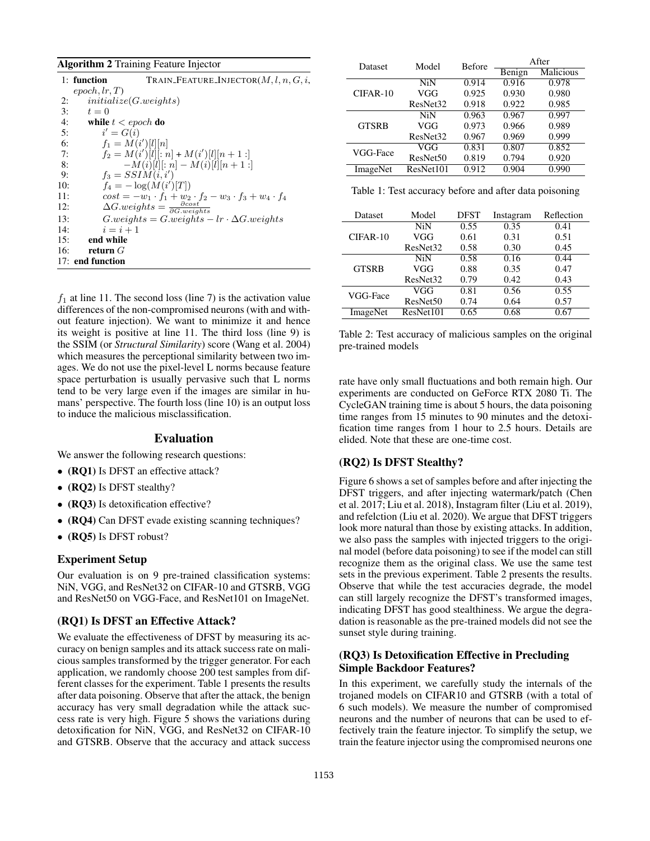#### Algorithm 2 Training Feature Injector

|     | 1: function            | TRAIN_FEATURE_INJECTOR $(M, l, n, G, i,$                                |
|-----|------------------------|-------------------------------------------------------------------------|
|     | epoch, lr, T)          |                                                                         |
| 2:  | initialize(G. weights) |                                                                         |
| 3:  | $t=0$                  |                                                                         |
| 4:  | while $t < epoch$ do   |                                                                         |
| 5:  | $i' = G(i)$            |                                                                         |
| 6:  | $f_1 = M(i')[l][n]$    |                                                                         |
| 7:  |                        | $f_2 = M(i')[l][: n] + M(i')[l][n+1:]$                                  |
| 8:  |                        | $-M(i)[l][:n] - M(i)[l][n+1:]$                                          |
| 9:  | $f_3 = SSIM(i, i')$    |                                                                         |
| 10: |                        | $f_4 = -\log(M(i') T)$                                                  |
| 11: |                        | $cost = -w_1 \cdot f_1 + w_2 \cdot f_2 - w_3 \cdot f_3 + w_4 \cdot f_4$ |
| 12: |                        | $\Delta G. weights = \frac{\partial cost}{\partial G. weights}$         |
| 13: |                        | $G.weights = G.weights - lr \cdot \Delta G.weights$                     |
| 14: | $i=i+1$                |                                                                         |
| 15: | end while              |                                                                         |
| 16: | return $G$             |                                                                         |
|     | 17: end function       |                                                                         |

 $f_1$  at line 11. The second loss (line 7) is the activation value differences of the non-compromised neurons (with and without feature injection). We want to minimize it and hence its weight is positive at line 11. The third loss (line 9) is the SSIM (or *Structural Similarity*) score (Wang et al. 2004) which measures the perceptional similarity between two images. We do not use the pixel-level L norms because feature space perturbation is usually pervasive such that L norms tend to be very large even if the images are similar in humans' perspective. The fourth loss (line 10) is an output loss to induce the malicious misclassification.

#### Evaluation

We answer the following research questions:

- (RQ1) Is DFST an effective attack?
- (RQ2) Is DFST stealthy?
- (RQ3) Is detoxification effective?
- (RQ4) Can DFST evade existing scanning techniques?
- (RQ5) Is DFST robust?

#### Experiment Setup

Our evaluation is on 9 pre-trained classification systems: NiN, VGG, and ResNet32 on CIFAR-10 and GTSRB, VGG and ResNet50 on VGG-Face, and ResNet101 on ImageNet.

#### (RQ1) Is DFST an Effective Attack?

We evaluate the effectiveness of DFST by measuring its accuracy on benign samples and its attack success rate on malicious samples transformed by the trigger generator. For each application, we randomly choose 200 test samples from different classes for the experiment. Table 1 presents the results after data poisoning. Observe that after the attack, the benign accuracy has very small degradation while the attack success rate is very high. Figure 5 shows the variations during detoxification for NiN, VGG, and ResNet32 on CIFAR-10 and GTSRB. Observe that the accuracy and attack success

| <b>Dataset</b> | Model                | <b>Before</b> | After  |                  |
|----------------|----------------------|---------------|--------|------------------|
|                |                      |               | Benign | <b>Malicious</b> |
|                | <b>NiN</b>           | 0.914         | 0.916  | 0.978            |
| $CIFAR-10$     | VGG                  | 0.925         | 0.930  | 0.980            |
|                | ResNet <sub>32</sub> | 0.918         | 0.922  | 0.985            |
|                | <b>NiN</b>           | 0.963         | 0.967  | 0.997            |
| <b>GTSRB</b>   | VGG                  | 0.973         | 0.966  | 0.989            |
|                | ResNet32             | 0.967         | 0.969  | 0.999            |
| VGG-Face       | VGG                  | 0.831         | 0.807  | 0.852            |
|                | ResNet <sub>50</sub> | 0.819         | 0.794  | 0.920            |
| ImageNet       | ResNet101            | 0.912         | 0.904  | 0.990            |

Table 1: Test accuracy before and after data poisoning

| Dataset      | Model                | <b>DFST</b> | Instagram | Reflection |
|--------------|----------------------|-------------|-----------|------------|
|              | <b>NiN</b>           | 0.55        | 0.35      | 0.41       |
| CIFAR-10     | VGG                  | 0.61        | 0.31      | 0.51       |
|              | ResNet <sub>32</sub> | 0.58        | 0.30      | 0.45       |
|              | N <sub>i</sub> N     | 0.58        | 0.16      | 0.44       |
| <b>GTSRB</b> | VGG                  | 0.88        | 0.35      | 0.47       |
|              | ResNet <sub>32</sub> | 0.79        | 0.42      | 0.43       |
| VGG-Face     | VGG                  | 0.81        | 0.56      | 0.55       |
|              | ResNet50             | 0.74        | 0.64      | 0.57       |
| ImageNet     | ResNet101            | 0.65        | 0.68      | 0.67       |

Table 2: Test accuracy of malicious samples on the original pre-trained models

rate have only small fluctuations and both remain high. Our experiments are conducted on GeForce RTX 2080 Ti. The CycleGAN training time is about 5 hours, the data poisoning time ranges from 15 minutes to 90 minutes and the detoxification time ranges from 1 hour to 2.5 hours. Details are elided. Note that these are one-time cost.

#### (RQ2) Is DFST Stealthy?

Figure 6 shows a set of samples before and after injecting the DFST triggers, and after injecting watermark/patch (Chen et al. 2017; Liu et al. 2018), Instagram filter (Liu et al. 2019), and refelction (Liu et al. 2020). We argue that DFST triggers look more natural than those by existing attacks. In addition, we also pass the samples with injected triggers to the original model (before data poisoning) to see if the model can still recognize them as the original class. We use the same test sets in the previous experiment. Table 2 presents the results. Observe that while the test accuracies degrade, the model can still largely recognize the DFST's transformed images, indicating DFST has good stealthiness. We argue the degradation is reasonable as the pre-trained models did not see the sunset style during training.

## (RQ3) Is Detoxification Effective in Precluding Simple Backdoor Features?

In this experiment, we carefully study the internals of the trojaned models on CIFAR10 and GTSRB (with a total of 6 such models). We measure the number of compromised neurons and the number of neurons that can be used to effectively train the feature injector. To simplify the setup, we train the feature injector using the compromised neurons one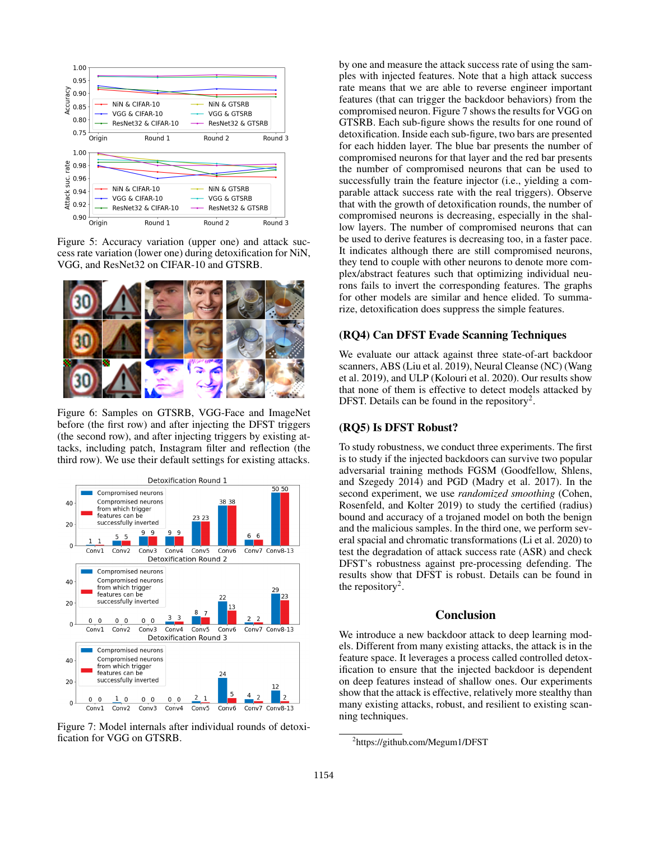

Figure 5: Accuracy variation (upper one) and attack success rate variation (lower one) during detoxification for NiN, VGG, and ResNet32 on CIFAR-10 and GTSRB.



Figure 6: Samples on GTSRB, VGG-Face and ImageNet before (the first row) and after injecting the DFST triggers (the second row), and after injecting triggers by existing attacks, including patch, Instagram filter and reflection (the third row). We use their default settings for existing attacks.



Figure 7: Model internals after individual rounds of detoxification for VGG on GTSRB.

by one and measure the attack success rate of using the samples with injected features. Note that a high attack success rate means that we are able to reverse engineer important features (that can trigger the backdoor behaviors) from the compromised neuron. Figure 7 shows the results for VGG on GTSRB. Each sub-figure shows the results for one round of detoxification. Inside each sub-figure, two bars are presented for each hidden layer. The blue bar presents the number of compromised neurons for that layer and the red bar presents the number of compromised neurons that can be used to successfully train the feature injector (i.e., yielding a comparable attack success rate with the real triggers). Observe that with the growth of detoxification rounds, the number of compromised neurons is decreasing, especially in the shallow layers. The number of compromised neurons that can be used to derive features is decreasing too, in a faster pace. It indicates although there are still compromised neurons, they tend to couple with other neurons to denote more complex/abstract features such that optimizing individual neurons fails to invert the corresponding features. The graphs for other models are similar and hence elided. To summarize, detoxification does suppress the simple features.

#### (RQ4) Can DFST Evade Scanning Techniques

We evaluate our attack against three state-of-art backdoor scanners, ABS (Liu et al. 2019), Neural Cleanse (NC) (Wang et al. 2019), and ULP (Kolouri et al. 2020). Our results show that none of them is effective to detect models attacked by DFST. Details can be found in the repository<sup>2</sup>.

#### (RQ5) Is DFST Robust?

To study robustness, we conduct three experiments. The first is to study if the injected backdoors can survive two popular adversarial training methods FGSM (Goodfellow, Shlens, and Szegedy 2014) and PGD (Madry et al. 2017). In the second experiment, we use *randomized smoothing* (Cohen, Rosenfeld, and Kolter 2019) to study the certified (radius) bound and accuracy of a trojaned model on both the benign and the malicious samples. In the third one, we perform several spacial and chromatic transformations (Li et al. 2020) to test the degradation of attack success rate (ASR) and check DFST's robustness against pre-processing defending. The results show that DFST is robust. Details can be found in the repository<sup>2</sup>.

# Conclusion

We introduce a new backdoor attack to deep learning models. Different from many existing attacks, the attack is in the feature space. It leverages a process called controlled detoxification to ensure that the injected backdoor is dependent on deep features instead of shallow ones. Our experiments show that the attack is effective, relatively more stealthy than many existing attacks, robust, and resilient to existing scanning techniques.

<sup>2</sup> https://github.com/Megum1/DFST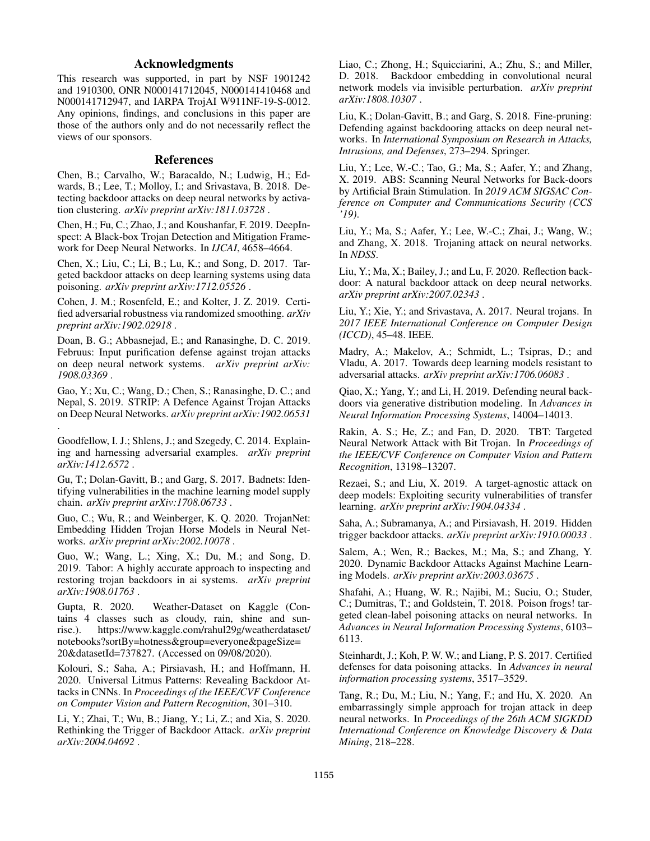# Acknowledgments

This research was supported, in part by NSF 1901242 and 1910300, ONR N000141712045, N000141410468 and N000141712947, and IARPA TrojAI W911NF-19-S-0012. Any opinions, findings, and conclusions in this paper are those of the authors only and do not necessarily reflect the views of our sponsors.

## References

Chen, B.; Carvalho, W.; Baracaldo, N.; Ludwig, H.; Edwards, B.; Lee, T.; Molloy, I.; and Srivastava, B. 2018. Detecting backdoor attacks on deep neural networks by activation clustering. *arXiv preprint arXiv:1811.03728* .

Chen, H.; Fu, C.; Zhao, J.; and Koushanfar, F. 2019. DeepInspect: A Black-box Trojan Detection and Mitigation Framework for Deep Neural Networks. In *IJCAI*, 4658–4664.

Chen, X.; Liu, C.; Li, B.; Lu, K.; and Song, D. 2017. Targeted backdoor attacks on deep learning systems using data poisoning. *arXiv preprint arXiv:1712.05526* .

Cohen, J. M.; Rosenfeld, E.; and Kolter, J. Z. 2019. Certified adversarial robustness via randomized smoothing. *arXiv preprint arXiv:1902.02918* .

Doan, B. G.; Abbasnejad, E.; and Ranasinghe, D. C. 2019. Februus: Input purification defense against trojan attacks on deep neural network systems. *arXiv preprint arXiv: 1908.03369* .

Gao, Y.; Xu, C.; Wang, D.; Chen, S.; Ranasinghe, D. C.; and Nepal, S. 2019. STRIP: A Defence Against Trojan Attacks on Deep Neural Networks. *arXiv preprint arXiv:1902.06531*

.

Goodfellow, I. J.; Shlens, J.; and Szegedy, C. 2014. Explaining and harnessing adversarial examples. *arXiv preprint arXiv:1412.6572* .

Gu, T.; Dolan-Gavitt, B.; and Garg, S. 2017. Badnets: Identifying vulnerabilities in the machine learning model supply chain. *arXiv preprint arXiv:1708.06733* .

Guo, C.; Wu, R.; and Weinberger, K. Q. 2020. TrojanNet: Embedding Hidden Trojan Horse Models in Neural Networks. *arXiv preprint arXiv:2002.10078* .

Guo, W.; Wang, L.; Xing, X.; Du, M.; and Song, D. 2019. Tabor: A highly accurate approach to inspecting and restoring trojan backdoors in ai systems. *arXiv preprint arXiv:1908.01763* .

Gupta, R. 2020. Weather-Dataset on Kaggle (Contains 4 classes such as cloudy, rain, shine and sunrise.). https://www.kaggle.com/rahul29g/weatherdataset/ notebooks?sortBy=hotness&group=everyone&pageSize= 20&datasetId=737827. (Accessed on 09/08/2020).

Kolouri, S.; Saha, A.; Pirsiavash, H.; and Hoffmann, H. 2020. Universal Litmus Patterns: Revealing Backdoor Attacks in CNNs. In *Proceedings of the IEEE/CVF Conference on Computer Vision and Pattern Recognition*, 301–310.

Li, Y.; Zhai, T.; Wu, B.; Jiang, Y.; Li, Z.; and Xia, S. 2020. Rethinking the Trigger of Backdoor Attack. *arXiv preprint arXiv:2004.04692* .

Liao, C.; Zhong, H.; Squicciarini, A.; Zhu, S.; and Miller, D. 2018. Backdoor embedding in convolutional neural network models via invisible perturbation. *arXiv preprint arXiv:1808.10307* .

Liu, K.; Dolan-Gavitt, B.; and Garg, S. 2018. Fine-pruning: Defending against backdooring attacks on deep neural networks. In *International Symposium on Research in Attacks, Intrusions, and Defenses*, 273–294. Springer.

Liu, Y.; Lee, W.-C.; Tao, G.; Ma, S.; Aafer, Y.; and Zhang, X. 2019. ABS: Scanning Neural Networks for Back-doors by Artificial Brain Stimulation. In *2019 ACM SIGSAC Conference on Computer and Communications Security (CCS '19)*.

Liu, Y.; Ma, S.; Aafer, Y.; Lee, W.-C.; Zhai, J.; Wang, W.; and Zhang, X. 2018. Trojaning attack on neural networks. In *NDSS*.

Liu, Y.; Ma, X.; Bailey, J.; and Lu, F. 2020. Reflection backdoor: A natural backdoor attack on deep neural networks. *arXiv preprint arXiv:2007.02343* .

Liu, Y.; Xie, Y.; and Srivastava, A. 2017. Neural trojans. In *2017 IEEE International Conference on Computer Design (ICCD)*, 45–48. IEEE.

Madry, A.; Makelov, A.; Schmidt, L.; Tsipras, D.; and Vladu, A. 2017. Towards deep learning models resistant to adversarial attacks. *arXiv preprint arXiv:1706.06083* .

Qiao, X.; Yang, Y.; and Li, H. 2019. Defending neural backdoors via generative distribution modeling. In *Advances in Neural Information Processing Systems*, 14004–14013.

Rakin, A. S.; He, Z.; and Fan, D. 2020. TBT: Targeted Neural Network Attack with Bit Trojan. In *Proceedings of the IEEE/CVF Conference on Computer Vision and Pattern Recognition*, 13198–13207.

Rezaei, S.; and Liu, X. 2019. A target-agnostic attack on deep models: Exploiting security vulnerabilities of transfer learning. *arXiv preprint arXiv:1904.04334* .

Saha, A.; Subramanya, A.; and Pirsiavash, H. 2019. Hidden trigger backdoor attacks. *arXiv preprint arXiv:1910.00033* .

Salem, A.; Wen, R.; Backes, M.; Ma, S.; and Zhang, Y. 2020. Dynamic Backdoor Attacks Against Machine Learning Models. *arXiv preprint arXiv:2003.03675* .

Shafahi, A.; Huang, W. R.; Najibi, M.; Suciu, O.; Studer, C.; Dumitras, T.; and Goldstein, T. 2018. Poison frogs! targeted clean-label poisoning attacks on neural networks. In *Advances in Neural Information Processing Systems*, 6103– 6113.

Steinhardt, J.; Koh, P. W. W.; and Liang, P. S. 2017. Certified defenses for data poisoning attacks. In *Advances in neural information processing systems*, 3517–3529.

Tang, R.; Du, M.; Liu, N.; Yang, F.; and Hu, X. 2020. An embarrassingly simple approach for trojan attack in deep neural networks. In *Proceedings of the 26th ACM SIGKDD International Conference on Knowledge Discovery & Data Mining*, 218–228.